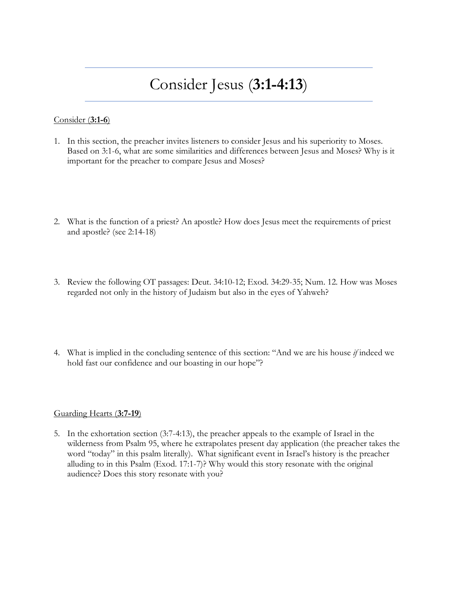# Consider Jesus (**3:1-4:13**)

### Consider (**3:1-6**)

- 1. In this section, the preacher invites listeners to consider Jesus and his superiority to Moses. Based on 3:1-6, what are some similarities and differences between Jesus and Moses? Why is it important for the preacher to compare Jesus and Moses?
- 2. What is the function of a priest? An apostle? How does Jesus meet the requirements of priest and apostle? (see 2:14-18)
- 3. Review the following OT passages: Deut. 34:10-12; Exod. 34:29-35; Num. 12. How was Moses regarded not only in the history of Judaism but also in the eyes of Yahweh?
- 4. What is implied in the concluding sentence of this section: "And we are his house *if* indeed we hold fast our confidence and our boasting in our hope"?

#### Guarding Hearts (**3:7-19**)

5. In the exhortation section (3:7-4:13), the preacher appeals to the example of Israel in the wilderness from Psalm 95, where he extrapolates present day application (the preacher takes the word "today" in this psalm literally). What significant event in Israel's history is the preacher alluding to in this Psalm (Exod. 17:1-7)? Why would this story resonate with the original audience? Does this story resonate with you?